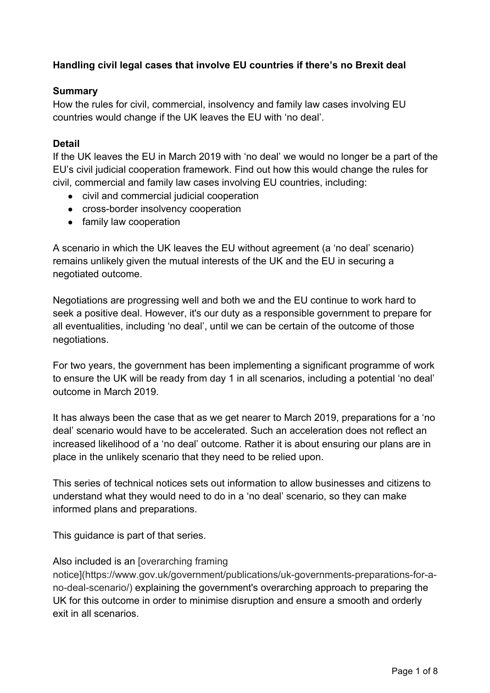# **Handling civil legal cases that involve EU countries if there's no Brexit deal**

#### **Summary**

How the rules for civil, commercial, insolvency and family law cases involving EU countries would change if the UK leaves the EU with 'no deal'.

### **Detail**

If the UK leaves the EU in March 2019 with 'no deal' we would no longer be a part of the EU's civil judicial cooperation framework. Find out how this would change the rules for civil, commercial and family law cases involving EU countries, including:

- civil and commercial judicial cooperation
- cross-border insolvency cooperation
- family law cooperation

A scenario in which the UK leaves the EU without agreement (a 'no deal' scenario) remains unlikely given the mutual interests of the UK and the EU in securing a negotiated outcome.

Negotiations are progressing well and both we and the EU continue to work hard to seek a positive deal. However, it's our duty as a responsible government to prepare for all eventualities, including 'no deal', until we can be certain of the outcome of those negotiations.

For two years, the government has been implementing a significant programme of work to ensure the UK will be ready from day 1 in all scenarios, including a potential 'no deal' outcome in March 2019.

It has always been the case that as we get nearer to March 2019, preparations for a 'no deal' scenario would have to be accelerated. Such an acceleration does not reflect an increased likelihood of a 'no deal' outcome. Rather it is about ensuring our plans are in place in the unlikely scenario that they need to be relied upon.

This series of technical notices sets out information to allow businesses and citizens to understand what they would need to do in a 'no deal' scenario, so they can make informed plans and preparations.

This guidance is part of that series.

#### Also included is an [overarching framing

notice](https://www.gov.uk/government/publications/uk-governments-preparations-for-ano-deal-scenario/) explaining the government's overarching approach to preparing the UK for this outcome in order to minimise disruption and ensure a smooth and orderly exit in all scenarios.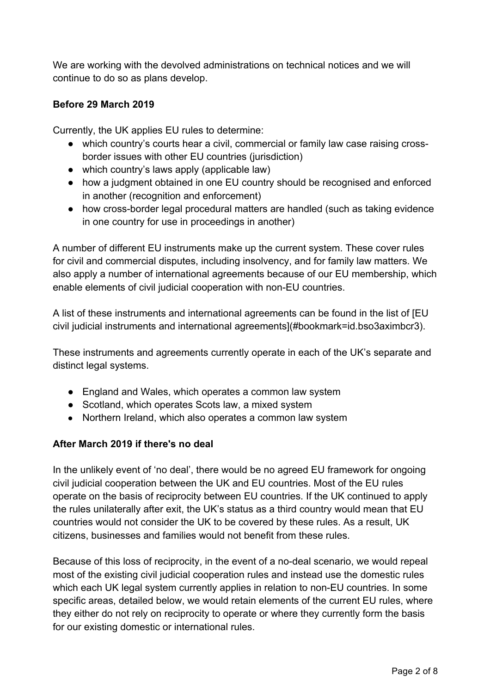We are working with the devolved administrations on technical notices and we will continue to do so as plans develop.

# **Before 29 March 2019**

Currently, the UK applies EU rules to determine:

- which country's courts hear a civil, commercial or family law case raising crossborder issues with other EU countries (jurisdiction)
- which country's laws apply (applicable law)
- how a judgment obtained in one EU country should be recognised and enforced in another (recognition and enforcement)
- how cross-border legal procedural matters are handled (such as taking evidence in one country for use in proceedings in another)

A number of different EU instruments make up the current system. These cover rules for civil and commercial disputes, including insolvency, and for family law matters. We also apply a number of international agreements because of our EU membership, which enable elements of civil judicial cooperation with non-EU countries.

A list of these instruments and international agreements can be found in the list of [EU civil judicial instruments and international agreements](#bookmark=id.bso3aximbcr3).

These instruments and agreements currently operate in each of the UK's separate and distinct legal systems.

- England and Wales, which operates a common law system
- Scotland, which operates Scots law, a mixed system
- Northern Ireland, which also operates a common law system

### **After March 2019 if there's no deal**

In the unlikely event of 'no deal', there would be no agreed EU framework for ongoing civil judicial cooperation between the UK and EU countries. Most of the EU rules operate on the basis of reciprocity between EU countries. If the UK continued to apply the rules unilaterally after exit, the UK's status as a third country would mean that EU countries would not consider the UK to be covered by these rules. As a result, UK citizens, businesses and families would not benefit from these rules.

Because of this loss of reciprocity, in the event of a no-deal scenario, we would repeal most of the existing civil judicial cooperation rules and instead use the domestic rules which each UK legal system currently applies in relation to non-EU countries. In some specific areas, detailed below, we would retain elements of the current EU rules, where they either do not rely on reciprocity to operate or where they currently form the basis for our existing domestic or international rules.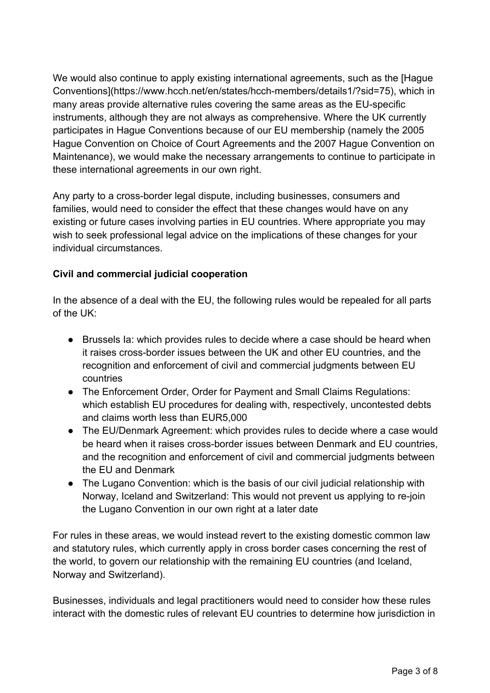We would also continue to apply existing international agreements, such as the [Hague Conventions](https://www.hcch.net/en/states/hcch-members/details1/?sid=75), which in many areas provide alternative rules covering the same areas as the EU-specific instruments, although they are not always as comprehensive. Where the UK currently participates in Hague Conventions because of our EU membership (namely the 2005 Hague Convention on Choice of Court Agreements and the 2007 Hague Convention on Maintenance), we would make the necessary arrangements to continue to participate in these international agreements in our own right.

Any party to a cross-border legal dispute, including businesses, consumers and families, would need to consider the effect that these changes would have on any existing or future cases involving parties in EU countries. Where appropriate you may wish to seek professional legal advice on the implications of these changes for your individual circumstances.

# **Civil and commercial judicial cooperation**

In the absence of a deal with the EU, the following rules would be repealed for all parts of the UK:

- Brussels Ia: which provides rules to decide where a case should be heard when it raises cross-border issues between the UK and other EU countries, and the recognition and enforcement of civil and commercial judgments between EU countries
- The Enforcement Order, Order for Payment and Small Claims Regulations: which establish EU procedures for dealing with, respectively, uncontested debts and claims worth less than EUR5,000
- The EU/Denmark Agreement: which provides rules to decide where a case would be heard when it raises cross-border issues between Denmark and EU countries, and the recognition and enforcement of civil and commercial judgments between the EU and Denmark
- The Lugano Convention: which is the basis of our civil judicial relationship with Norway, Iceland and Switzerland: This would not prevent us applying to re-join the Lugano Convention in our own right at a later date

For rules in these areas, we would instead revert to the existing domestic common law and statutory rules, which currently apply in cross border cases concerning the rest of the world, to govern our relationship with the remaining EU countries (and Iceland, Norway and Switzerland).

Businesses, individuals and legal practitioners would need to consider how these rules interact with the domestic rules of relevant EU countries to determine how jurisdiction in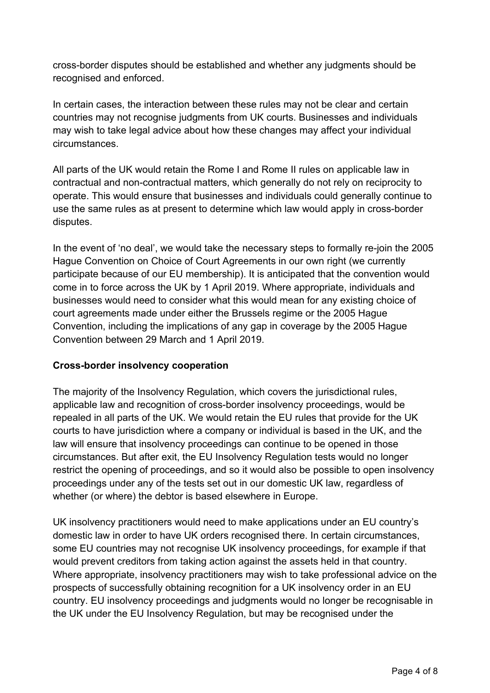cross-border disputes should be established and whether any judgments should be recognised and enforced.

In certain cases, the interaction between these rules may not be clear and certain countries may not recognise judgments from UK courts. Businesses and individuals may wish to take legal advice about how these changes may affect your individual circumstances.

All parts of the UK would retain the Rome I and Rome II rules on applicable law in contractual and non-contractual matters, which generally do not rely on reciprocity to operate. This would ensure that businesses and individuals could generally continue to use the same rules as at present to determine which law would apply in cross-border disputes.

In the event of 'no deal', we would take the necessary steps to formally re-join the 2005 Hague Convention on Choice of Court Agreements in our own right (we currently participate because of our EU membership). It is anticipated that the convention would come in to force across the UK by 1 April 2019. Where appropriate, individuals and businesses would need to consider what this would mean for any existing choice of court agreements made under either the Brussels regime or the 2005 Hague Convention, including the implications of any gap in coverage by the 2005 Hague Convention between 29 March and 1 April 2019.

### **Cross-border insolvency cooperation**

The majority of the Insolvency Regulation, which covers the jurisdictional rules, applicable law and recognition of cross-border insolvency proceedings, would be repealed in all parts of the UK. We would retain the EU rules that provide for the UK courts to have jurisdiction where a company or individual is based in the UK, and the law will ensure that insolvency proceedings can continue to be opened in those circumstances. But after exit, the EU Insolvency Regulation tests would no longer restrict the opening of proceedings, and so it would also be possible to open insolvency proceedings under any of the tests set out in our domestic UK law, regardless of whether (or where) the debtor is based elsewhere in Europe.

UK insolvency practitioners would need to make applications under an EU country's domestic law in order to have UK orders recognised there. In certain circumstances, some EU countries may not recognise UK insolvency proceedings, for example if that would prevent creditors from taking action against the assets held in that country. Where appropriate, insolvency practitioners may wish to take professional advice on the prospects of successfully obtaining recognition for a UK insolvency order in an EU country. EU insolvency proceedings and judgments would no longer be recognisable in the UK under the EU Insolvency Regulation, but may be recognised under the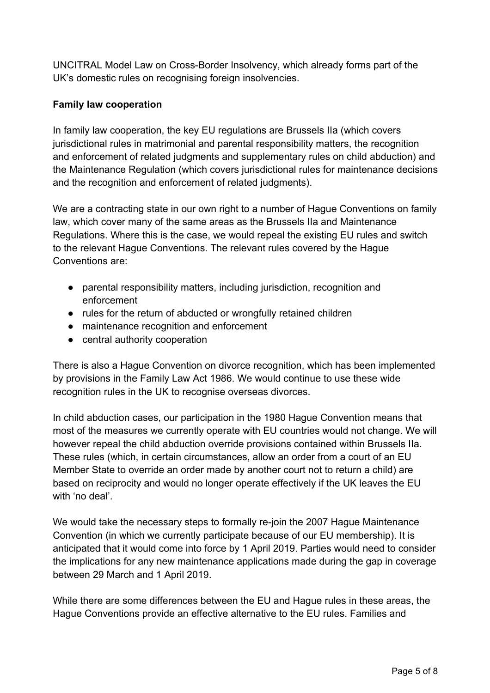UNCITRAL Model Law on Cross-Border Insolvency, which already forms part of the UK's domestic rules on recognising foreign insolvencies.

# **Family law cooperation**

In family law cooperation, the key EU regulations are Brussels IIa (which covers jurisdictional rules in matrimonial and parental responsibility matters, the recognition and enforcement of related judgments and supplementary rules on child abduction) and the Maintenance Regulation (which covers jurisdictional rules for maintenance decisions and the recognition and enforcement of related judgments).

We are a contracting state in our own right to a number of Hague Conventions on family law, which cover many of the same areas as the Brussels IIa and Maintenance Regulations. Where this is the case, we would repeal the existing EU rules and switch to the relevant Hague Conventions. The relevant rules covered by the Hague Conventions are:

- parental responsibility matters, including jurisdiction, recognition and enforcement
- rules for the return of abducted or wrongfully retained children
- maintenance recognition and enforcement
- central authority cooperation

There is also a Hague Convention on divorce recognition, which has been implemented by provisions in the Family Law Act 1986. We would continue to use these wide recognition rules in the UK to recognise overseas divorces.

In child abduction cases, our participation in the 1980 Hague Convention means that most of the measures we currently operate with EU countries would not change. We will however repeal the child abduction override provisions contained within Brussels IIa. These rules (which, in certain circumstances, allow an order from a court of an EU Member State to override an order made by another court not to return a child) are based on reciprocity and would no longer operate effectively if the UK leaves the EU with 'no deal'.

We would take the necessary steps to formally re-join the 2007 Hague Maintenance Convention (in which we currently participate because of our EU membership). It is anticipated that it would come into force by 1 April 2019. Parties would need to consider the implications for any new maintenance applications made during the gap in coverage between 29 March and 1 April 2019.

While there are some differences between the EU and Hague rules in these areas, the Hague Conventions provide an effective alternative to the EU rules. Families and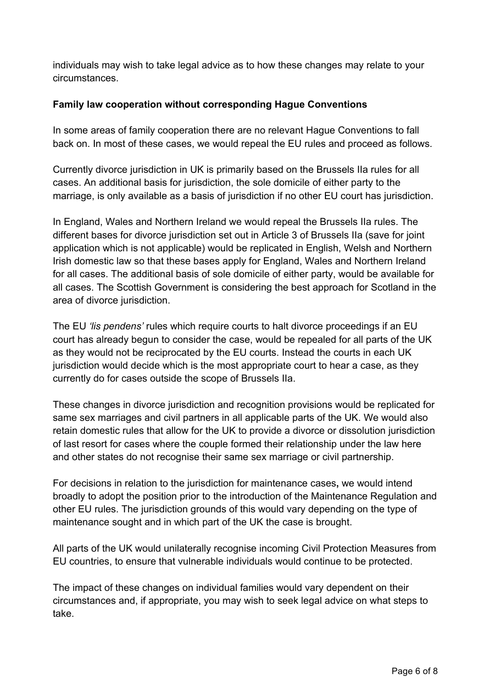individuals may wish to take legal advice as to how these changes may relate to your circumstances.

# **Family law cooperation without corresponding Hague Conventions**

In some areas of family cooperation there are no relevant Hague Conventions to fall back on. In most of these cases, we would repeal the EU rules and proceed as follows.

Currently divorce jurisdiction in UK is primarily based on the Brussels IIa rules for all cases. An additional basis for jurisdiction, the sole domicile of either party to the marriage, is only available as a basis of jurisdiction if no other EU court has jurisdiction.

In England, Wales and Northern Ireland we would repeal the Brussels IIa rules. The different bases for divorce jurisdiction set out in Article 3 of Brussels IIa (save for joint application which is not applicable) would be replicated in English, Welsh and Northern Irish domestic law so that these bases apply for England, Wales and Northern Ireland for all cases. The additional basis of sole domicile of either party, would be available for all cases. The Scottish Government is considering the best approach for Scotland in the area of divorce jurisdiction.

The EU *'lis pendens'* rules which require courts to halt divorce proceedings if an EU court has already begun to consider the case, would be repealed for all parts of the UK as they would not be reciprocated by the EU courts. Instead the courts in each UK jurisdiction would decide which is the most appropriate court to hear a case, as they currently do for cases outside the scope of Brussels IIa.

These changes in divorce jurisdiction and recognition provisions would be replicated for same sex marriages and civil partners in all applicable parts of the UK. We would also retain domestic rules that allow for the UK to provide a divorce or dissolution jurisdiction of last resort for cases where the couple formed their relationship under the law here and other states do not recognise their same sex marriage or civil partnership.

For decisions in relation to the jurisdiction for maintenance cases**,** we would intend broadly to adopt the position prior to the introduction of the Maintenance Regulation and other EU rules. The jurisdiction grounds of this would vary depending on the type of maintenance sought and in which part of the UK the case is brought.

All parts of the UK would unilaterally recognise incoming Civil Protection Measures from EU countries, to ensure that vulnerable individuals would continue to be protected.

The impact of these changes on individual families would vary dependent on their circumstances and, if appropriate, you may wish to seek legal advice on what steps to take.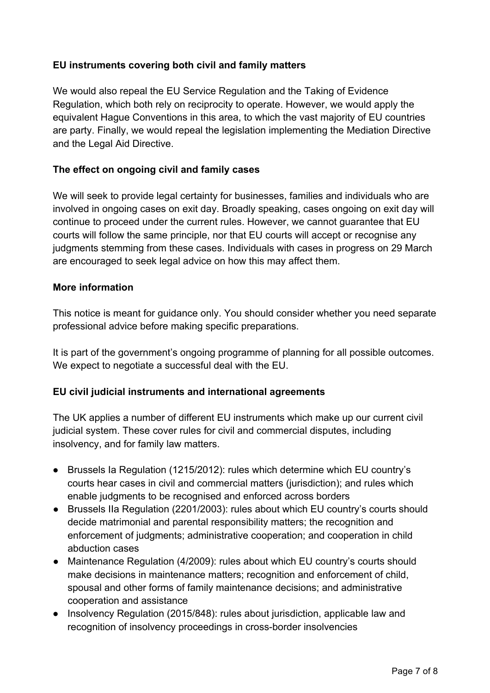# **EU instruments covering both civil and family matters**

We would also repeal the EU Service Regulation and the Taking of Evidence Regulation, which both rely on reciprocity to operate. However, we would apply the equivalent Hague Conventions in this area, to which the vast majority of EU countries are party. Finally, we would repeal the legislation implementing the Mediation Directive and the Legal Aid Directive.

### **The effect on ongoing civil and family cases**

We will seek to provide legal certainty for businesses, families and individuals who are involved in ongoing cases on exit day. Broadly speaking, cases ongoing on exit day will continue to proceed under the current rules. However, we cannot guarantee that EU courts will follow the same principle, nor that EU courts will accept or recognise any judgments stemming from these cases. Individuals with cases in progress on 29 March are encouraged to seek legal advice on how this may affect them.

#### **More information**

This notice is meant for guidance only. You should consider whether you need separate professional advice before making specific preparations.

It is part of the government's ongoing programme of planning for all possible outcomes. We expect to negotiate a successful deal with the EU.

### **EU civil judicial instruments and international agreements**

The UK applies a number of different EU instruments which make up our current civil judicial system. These cover rules for civil and commercial disputes, including insolvency, and for family law matters.

- Brussels Ia Regulation (1215/2012): rules which determine which EU country's courts hear cases in civil and commercial matters (jurisdiction); and rules which enable judgments to be recognised and enforced across borders
- Brussels IIa Regulation (2201/2003): rules about which EU country's courts should decide matrimonial and parental responsibility matters; the recognition and enforcement of judgments; administrative cooperation; and cooperation in child abduction cases
- Maintenance Regulation (4/2009): rules about which EU country's courts should make decisions in maintenance matters; recognition and enforcement of child, spousal and other forms of family maintenance decisions; and administrative cooperation and assistance
- Insolvency Regulation (2015/848): rules about jurisdiction, applicable law and recognition of insolvency proceedings in cross-border insolvencies